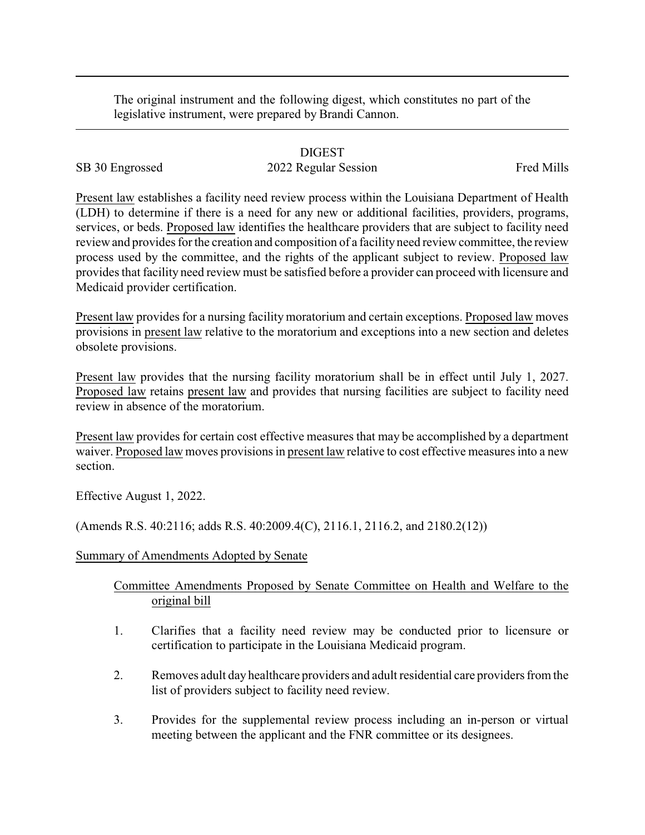The original instrument and the following digest, which constitutes no part of the legislative instrument, were prepared by Brandi Cannon.

## DIGEST

SB 30 Engrossed 2022 Regular Session Fred Mills

Present law establishes a facility need review process within the Louisiana Department of Health (LDH) to determine if there is a need for any new or additional facilities, providers, programs, services, or beds. Proposed law identifies the healthcare providers that are subject to facility need review and provides for the creation and composition of a facility need review committee, the review process used by the committee, and the rights of the applicant subject to review. Proposed law provides that facility need review must be satisfied before a provider can proceed with licensure and Medicaid provider certification.

Present law provides for a nursing facility moratorium and certain exceptions. Proposed law moves provisions in present law relative to the moratorium and exceptions into a new section and deletes obsolete provisions.

Present law provides that the nursing facility moratorium shall be in effect until July 1, 2027. Proposed law retains present law and provides that nursing facilities are subject to facility need review in absence of the moratorium.

Present law provides for certain cost effective measures that may be accomplished by a department waiver. Proposed law moves provisions in present law relative to cost effective measures into a new section.

Effective August 1, 2022.

(Amends R.S. 40:2116; adds R.S. 40:2009.4(C), 2116.1, 2116.2, and 2180.2(12))

## Summary of Amendments Adopted by Senate

## Committee Amendments Proposed by Senate Committee on Health and Welfare to the original bill

- 1. Clarifies that a facility need review may be conducted prior to licensure or certification to participate in the Louisiana Medicaid program.
- 2. Removes adult day healthcare providers and adult residential care providers from the list of providers subject to facility need review.
- 3. Provides for the supplemental review process including an in-person or virtual meeting between the applicant and the FNR committee or its designees.